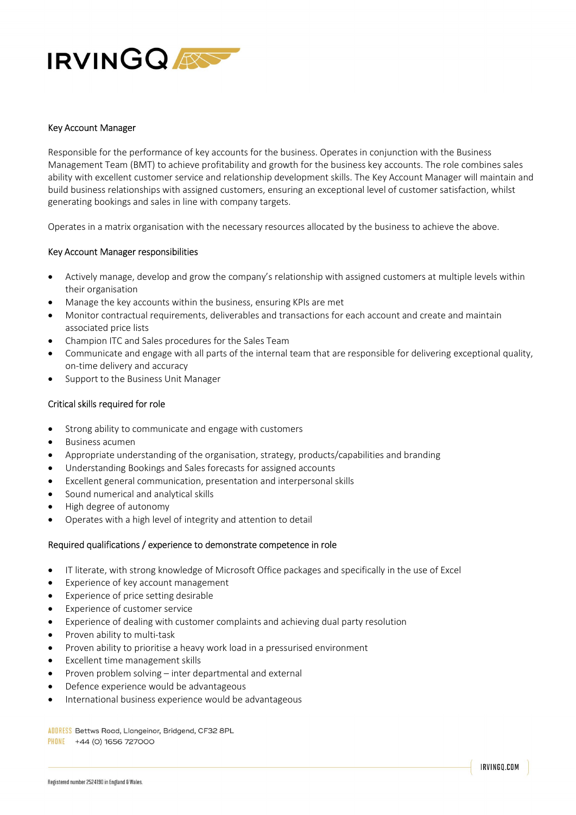

## Key Account Manager

Responsible for the performance of key accounts for the business. Operates in conjunction with the Business Management Team (BMT) to achieve profitability and growth for the business key accounts. The role combines sales ability with excellent customer service and relationship development skills. The Key Account Manager will maintain and build business relationships with assigned customers, ensuring an exceptional level of customer satisfaction, whilst generating bookings and sales in line with company targets.

Operates in a matrix organisation with the necessary resources allocated by the business to achieve the above.

## Key Account Manager responsibilities

- Actively manage, develop and grow the company's relationship with assigned customers at multiple levels within their organisation
- Manage the key accounts within the business, ensuring KPIs are met
- Monitor contractual requirements, deliverables and transactions for each account and create and maintain associated price lists
- Champion ITC and Sales procedures for the Sales Team
- Communicate and engage with all parts of the internal team that are responsible for delivering exceptional quality, on-time delivery and accuracy
- Support to the Business Unit Manager

## Critical skills required for role

- Strong ability to communicate and engage with customers
- Business acumen
- Appropriate understanding of the organisation, strategy, products/capabilities and branding
- Understanding Bookings and Sales forecasts for assigned accounts
- Excellent general communication, presentation and interpersonal skills
- Sound numerical and analytical skills
- High degree of autonomy
- Operates with a high level of integrity and attention to detail

## Required qualifications / experience to demonstrate competence in role

- IT literate, with strong knowledge of Microsoft Office packages and specifically in the use of Excel
- Experience of key account management
- Experience of price setting desirable
- Experience of customer service
- Experience of dealing with customer complaints and achieving dual party resolution
- Proven ability to multi-task
- Proven ability to prioritise a heavy work load in a pressurised environment
- Excellent time management skills
- Proven problem solving inter departmental and external
- Defence experience would be advantageous
- International business experience would be advantageous

ADDRESS Bettws Road, Llangeinor, Bridgend, CF32 8PL